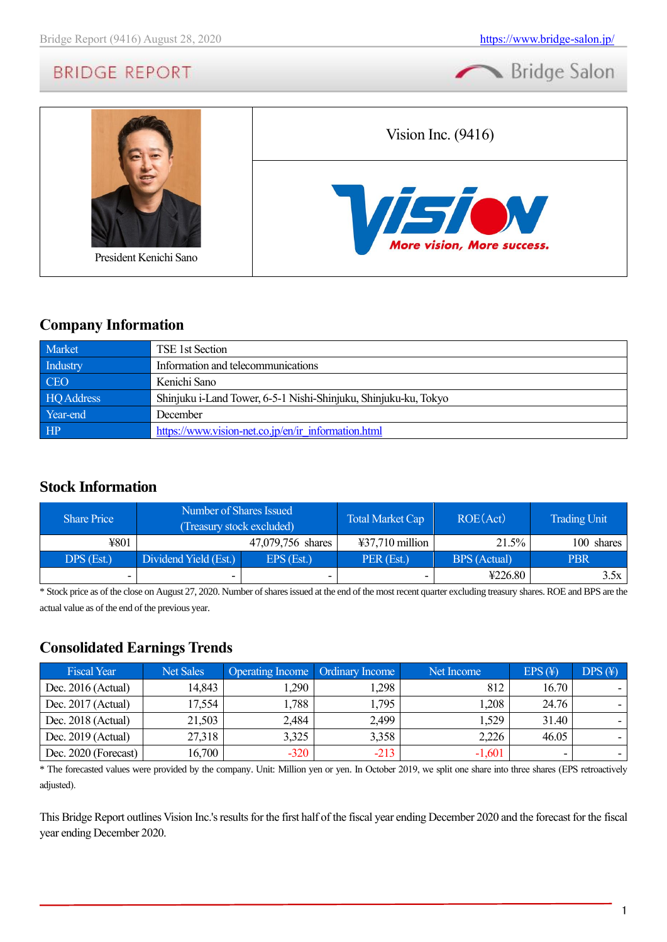



### **Company Information**

| Market     | TSE 1st Section                                                 |
|------------|-----------------------------------------------------------------|
| Industry   | Information and telecommunications                              |
| <b>CEO</b> | Kenichi Sano                                                    |
| HQ Address | Shinjuku i-Land Tower, 6-5-1 Nishi-Shinjuku, Shinjuku-ku, Tokyo |
| Year-end   | December                                                        |
| HP         | https://www.vision-net.co.jp/en/ir information.html             |

### **Stock Information**

| <b>Share Price</b> | Number of Shares Issued<br>(Treasury stock excluded) |                   | <b>Total Market Cap</b>   | ROE(Act)            | <b>Trading Unit</b> |
|--------------------|------------------------------------------------------|-------------------|---------------------------|---------------------|---------------------|
| ¥801               |                                                      | 47,079,756 shares | $\text{\#37,710}$ million | 21.5%               | 100 shares          |
| DPS (Est.)         | Dividend Yield (Est.)                                | $EPS$ (Est.)      | PER (Est.)                | <b>BPS</b> (Actual) | <b>PBR</b>          |
| -                  |                                                      |                   | -                         | 4226.80             | 3.5x                |

\* Stock price as of the close on August 27, 2020. Number of shares issued at the end of the most recent quarter excluding treasury shares. ROE and BPS are the actual value as of the end of the previous year.

### **Consolidated Earnings Trends**

| <b>Fiscal Year</b>   | <b>Net Sales</b> | <b>Operating Income Ordinary Income</b> |        | Net Income | $EPS(\textnormal{\texttt{F}})$ | $DPS(\textnormal{\texttt{F}})$ |
|----------------------|------------------|-----------------------------------------|--------|------------|--------------------------------|--------------------------------|
| Dec. $2016$ (Actual) | 14,843           | .290                                    | 1,298  | 812        | 16.70                          |                                |
| Dec. 2017 (Actual)   | 17,554           | 1,788                                   | 1,795  | 1,208      | 24.76                          |                                |
| Dec. 2018 (Actual)   | 21,503           | 2,484                                   | 2,499  | 1,529      | 31.40                          |                                |
| Dec. $2019$ (Actual) | 27,318           | 3,325                                   | 3,358  | 2,226      | 46.05                          |                                |
| Dec. 2020 (Forecast) | 16,700           | $-320$                                  | $-213$ | $-1,601$   |                                |                                |

\* The forecasted values were provided by the company. Unit: Million yen or yen. In October 2019, we split one share into three shares (EPS retroactively adjusted).

This Bridge Report outlines Vision Inc.'s results for the first half of the fiscal year ending December 2020 and the forecast for the fiscal year ending December 2020.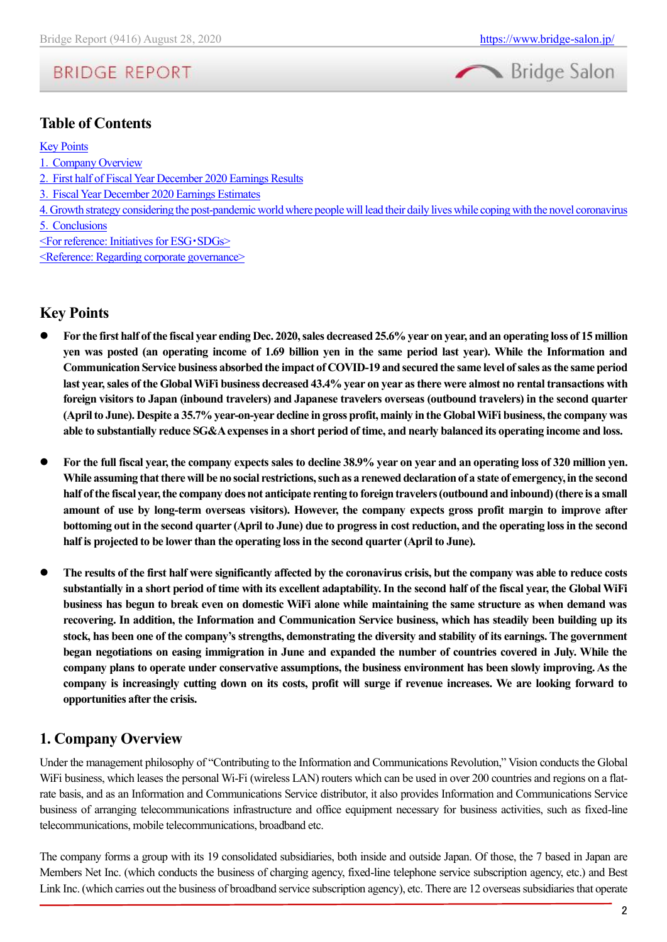



### **Table of Contents**

#### [Key Points](#page-1-0)

1.[Company Overview](#page-1-1)

- 2.[First half of Fiscal Year December 2020 Earnings Results](#page-4-0)
- 3.[Fiscal Year December 2020 Earnings Estimates](#page-8-0)
- [4. Growth strategy considering the post-pandemic world where people will lead their daily lives while coping with the novel coronavirus](#page-9-0)
- 5.[Conclusions](#page-12-0)
- [<For reference: Initiatives for ESG](#page-12-1)・SDGs>

[<Reference: Regarding corporate governance>](#page-14-0)

### <span id="page-1-0"></span>**Key Points**

- ⚫ **For the first half of the fiscal year ending Dec. 2020, sales decreased 25.6% year on year, and an operating loss of 15 million yen was posted (an operating income of 1.69 billion yen in the same period last year). While the Information and Communication Service business absorbed the impact of COVID-19 and secured the same level of sales as the same period last year, sales of the Global WiFi business decreased 43.4% year on year as there were almost no rental transactions with foreign visitors to Japan (inbound travelers) and Japanese travelers overseas (outbound travelers) in the second quarter (April to June). Despite a 35.7% year-on-year decline in gross profit, mainly in the Global WiFi business, the company was able to substantially reduce SG&A expenses in a short period of time, and nearly balanced its operating income and loss.**
- ⚫ **For the full fiscal year, the company expects sales to decline 38.9% year on year and an operating loss of 320 million yen. While assuming that there will be no social restrictions, such as a renewed declaration of a state of emergency, in the second half of the fiscal year, the company does not anticipate renting to foreigntravelers (outbound and inbound) (there is a small amount of use by long-term overseas visitors). However, the company expects gross profit margin to improve after bottoming out in the second quarter (April to June) due to progress in cost reduction, and the operating loss in the second half is projected to be lower than the operating loss in the second quarter (April to June).**
- ⚫ **The results of the first half were significantly affected by the coronavirus crisis, but the company was able to reduce costs substantially in a short period of time with its excellent adaptability. In the second half of the fiscal year, the Global WiFi business has begun to break even on domestic WiFi alone while maintaining the same structure as when demand was recovering. In addition, the Information and Communication Service business, which has steadily been building up its stock, has been one of the company's strengths, demonstrating the diversity and stability of its earnings. The government began negotiations on easing immigration in June and expanded the number of countries covered in July. While the company plans to operate under conservative assumptions, the business environment has been slowly improving. As the company is increasingly cutting down on its costs, profit will surge if revenue increases. We are looking forward to opportunities after the crisis.**

### <span id="page-1-1"></span>**1. Company Overview**

Under the management philosophy of "Contributing to the Information and Communications Revolution," Vision conducts the Global WiFi business, which leases the personal Wi-Fi (wireless LAN) routers which can be used in over 200 countries and regions on a flatrate basis, and as an Information and Communications Service distributor, it also provides Information and Communications Service business of arranging telecommunications infrastructure and office equipment necessary for business activities, such as fixed-line telecommunications, mobile telecommunications, broadband etc.

The company forms a group with its 19 consolidated subsidiaries, both inside and outside Japan. Of those, the 7 based in Japan are Members Net Inc. (which conducts the business of charging agency, fixed-line telephone service subscription agency, etc.) and Best Link Inc. (which carries out the business of broadband service subscription agency), etc. There are 12 overseas subsidiaries that operate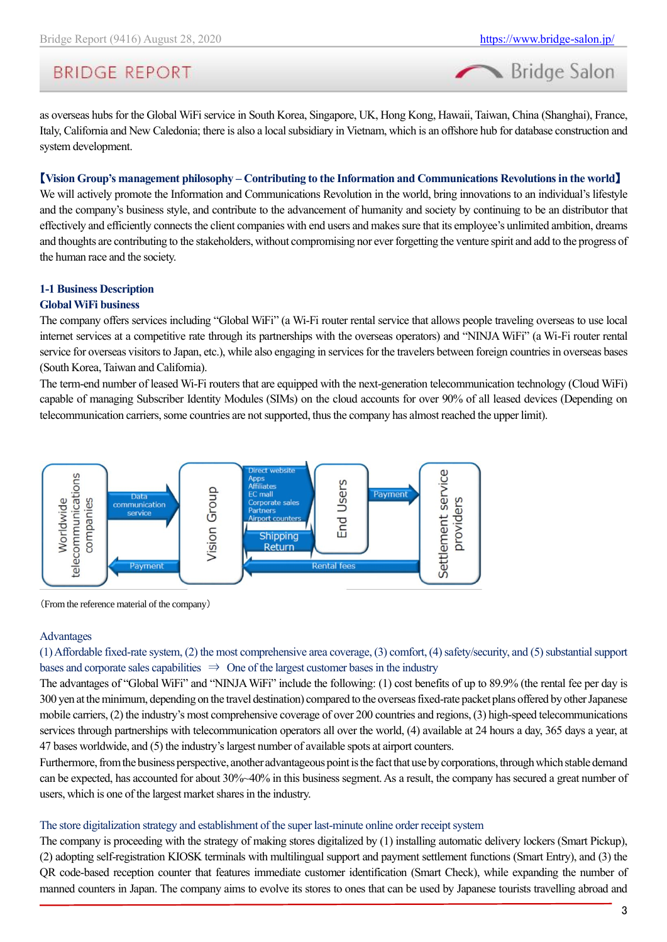# **BRIDGE REPORT**

as overseas hubs for the Global WiFi service in South Korea, Singapore, UK, Hong Kong, Hawaii, Taiwan, China (Shanghai), France, Italy, California and New Caledonia; there is also a local subsidiary in Vietnam, which is an offshore hub for database construction and system development.

#### 【**Vision Group's management philosophy – Contributing to the Information and Communications Revolutions in the world**】

We will actively promote the Information and Communications Revolution in the world, bring innovations to an individual's lifestyle and the company's business style, and contribute to the advancement of humanity and society by continuing to be an distributor that effectively and efficiently connects the client companies with end users and makes sure that its employee's unlimited ambition, dreams and thoughts are contributing to the stakeholders, without compromising nor ever forgetting the venture spirit and add to the progress of the human race and the society.

# **1-1 Business Description**

### **Global WiFi business**

The company offers services including "Global WiFi" (a Wi-Fi router rental service that allows people traveling overseas to use local internet services at a competitive rate through its partnerships with the overseas operators) and "NINJA WiFi" (a Wi-Fi router rental service for overseas visitors to Japan, etc.), while also engaging in services for the travelers between foreign countries in overseas bases (South Korea, Taiwan and California).

The term-end number of leased Wi-Fi routers that are equipped with the next-generation telecommunication technology (Cloud WiFi) capable of managing Subscriber Identity Modules (SIMs) on the cloud accounts for over 90% of all leased devices (Depending on telecommunication carriers, some countries are not supported, thus the company has almost reached the upper limit).



(From the reference material of the company)

#### Advantages

(1) Affordable fixed-rate system, (2) the most comprehensive area coverage, (3) comfort, (4) safety/security, and (5) substantial support bases and corporate sales capabilities  $\Rightarrow$  One of the largest customer bases in the industry

The advantages of "Global WiFi" and "NINJA WiFi" include the following: (1) cost benefits of up to 89.9% (the rental fee per day is 300 yen at the minimum, depending on the travel destination) compared to the overseas fixed-rate packet plans offered by other Japanese mobile carriers, (2) the industry's most comprehensive coverage of over 200 countries and regions, (3) high-speed telecommunications services through partnerships with telecommunication operators all over the world, (4) available at 24 hours a day, 365 days a year, at 47 bases worldwide, and (5) the industry's largest number of available spots at airport counters.

Furthermore, from the business perspective, another advantageous point is the fact that use by corporations, through which stable demand can be expected, has accounted for about 30%~40% in this business segment. As a result, the company has secured a great number of users, which is one of the largest market shares in the industry.

#### The store digitalization strategy and establishment of the super last-minute online order receipt system

The company is proceeding with the strategy of making stores digitalized by (1) installing automatic delivery lockers (Smart Pickup), (2) adopting self-registration KIOSK terminals with multilingual support and payment settlement functions (Smart Entry), and (3) the QR code-based reception counter that features immediate customer identification (Smart Check), while expanding the number of manned counters in Japan. The company aims to evolve its stores to ones that can be used by Japanese tourists travelling abroad and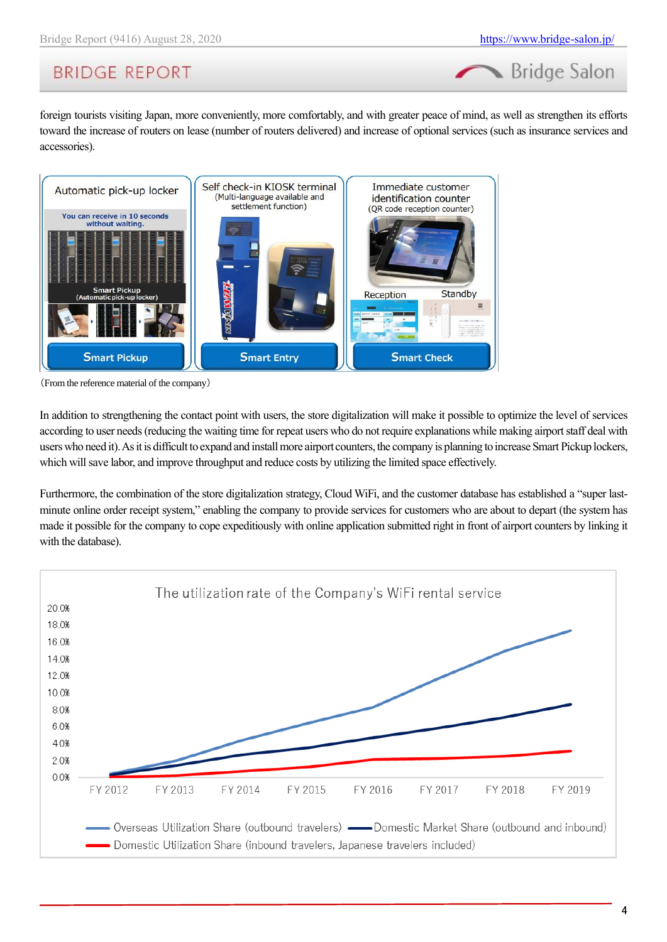# **BRIDGE REPORT**

foreign tourists visiting Japan, more conveniently, more comfortably, and with greater peace of mind, as well as strengthen its efforts toward the increase of routers on lease (number of routers delivered) and increase of optional services (such as insurance services and accessories).



(From the reference material of the company)

In addition to strengthening the contact point with users, the store digitalization will make it possible to optimize the level of services according to user needs (reducing the waiting time for repeat users who do not require explanations while making airport staff deal with users who need it). As it is difficult to expand and install more airport counters, the company is planning to increase Smart Pickup lockers, which will save labor, and improve throughput and reduce costs by utilizing the limited space effectively.

Furthermore, the combination of the store digitalization strategy, Cloud WiFi, and the customer database has established a "super lastminute online order receipt system," enabling the company to provide services for customers who are about to depart (the system has made it possible for the company to cope expeditiously with online application submitted right in front of airport counters by linking it with the database).

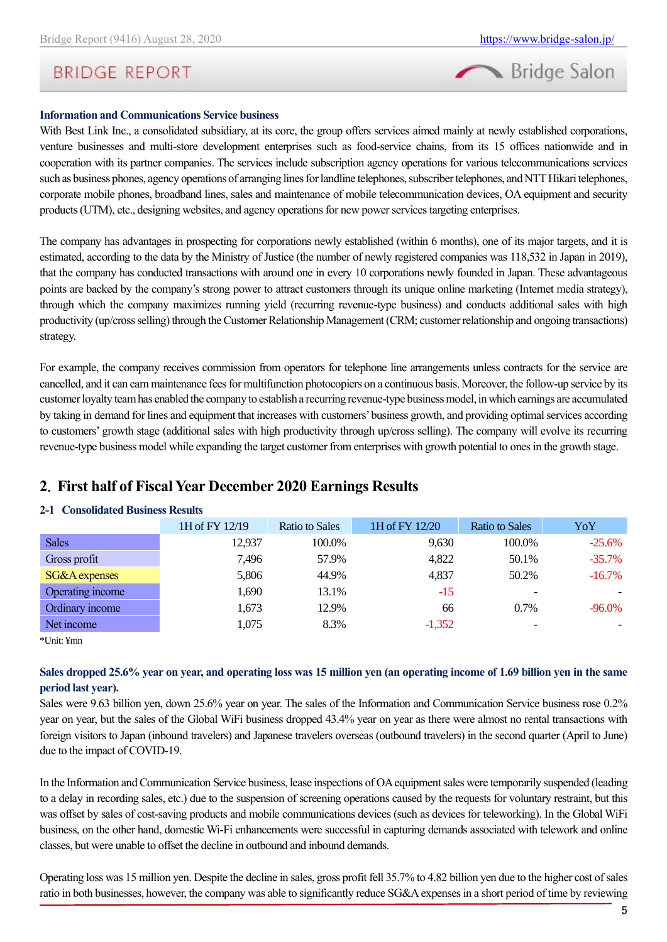

### **Information and Communications Service business**

With Best Link Inc., a consolidated subsidiary, at its core, the group offers services aimed mainly at newly established corporations, venture businesses and multi-store development enterprises such as food-service chains, from its 15 offices nationwide and in cooperation with its partner companies. The services include subscription agency operations for various telecommunications services such as business phones, agency operations of arranging lines for landline telephones, subscriber telephones, and NTT Hikari telephones, corporate mobile phones, broadband lines, sales and maintenance of mobile telecommunication devices, OA equipment and security products (UTM), etc., designing websites, and agency operations for new power services targeting enterprises.

The company has advantages in prospecting for corporations newly established (within 6 months), one of its major targets, and it is estimated, according to the data by the Ministry of Justice (the number of newly registered companies was 118,532 in Japan in 2019), that the company has conducted transactions with around one in every 10 corporations newly founded in Japan. These advantageous points are backed by the company's strong power to attract customers through its unique online marketing (Internet media strategy), through which the company maximizes running yield (recurring revenue-type business) and conducts additional sales with high productivity (up/cross selling) through the Customer Relationship Management (CRM; customer relationship and ongoing transactions) strategy.

For example, the company receives commission from operators for telephone line arrangements unless contracts for the service are cancelled, and it can earn maintenance fees for multifunction photocopiers on a continuous basis. Moreover, the follow-up service by its customer loyalty team has enabled the company to establish a recurring revenue-type business model, in which earnings are accumulated by taking in demand for lines and equipment that increases with customers' business growth, and providing optimal services according to customers' growth stage (additional sales with high productivity through up/cross selling). The company will evolve its recurring revenue-type business model while expanding the target customer from enterprises with growth potential to ones in the growth stage.

### <span id="page-4-0"></span>**2**.**First half of Fiscal Year December 2020 Earnings Results**

#### **2-1 Consolidated Business Results**

|                  | 1H of FY 12/19 | <b>Ratio to Sales</b> | 1H of FY 12/20 | <b>Ratio to Sales</b>    | YoY       |
|------------------|----------------|-----------------------|----------------|--------------------------|-----------|
| <b>Sales</b>     | 12.937         | 100.0%                | 9,630          | 100.0%                   | $-25.6%$  |
| Gross profit     | 7,496          | 57.9%                 | 4,822          | 50.1%                    | $-35.7%$  |
| SG&A expenses    | 5,806          | 44.9%                 | 4,837          | 50.2%                    | $-16.7\%$ |
| Operating income | 1,690          | 13.1%                 | $-15$          | $\overline{\phantom{0}}$ |           |
| Ordinary income  | 1,673          | 12.9%                 | 66             | $0.7\%$                  | $-96.0\%$ |
| Net income       | 1,075          | 8.3%                  | $-1,352$       |                          |           |

\*Unit: ¥mn

#### **Sales dropped 25.6% year on year, and operating loss was 15 million yen (an operating income of 1.69 billion yen in the same period last year).**

Sales were 9.63 billion yen, down 25.6% year on year. The sales of the Information and Communication Service business rose 0.2% year on year, but the sales of the Global WiFi business dropped 43.4% year on year as there were almost no rental transactions with foreign visitors to Japan (inbound travelers) and Japanese travelers overseas (outbound travelers) in the second quarter (April to June) due to the impact of COVID-19.

In the Information and Communication Service business, lease inspections of OA equipment sales were temporarily suspended (leading to a delay in recording sales, etc.) due to the suspension of screening operations caused by the requests for voluntary restraint, but this was offset by sales of cost-saving products and mobile communications devices (such as devices for teleworking). In the Global WiFi business, on the other hand, domestic Wi-Fi enhancements were successful in capturing demands associated with telework and online classes, but were unable to offset the decline in outbound and inbound demands.

Operating loss was 15 million yen. Despite the decline in sales, gross profit fell 35.7% to 4.82 billion yen due to the higher cost of sales ratio in both businesses, however, the company was able to significantly reduce SG&A expenses in a short period of time by reviewing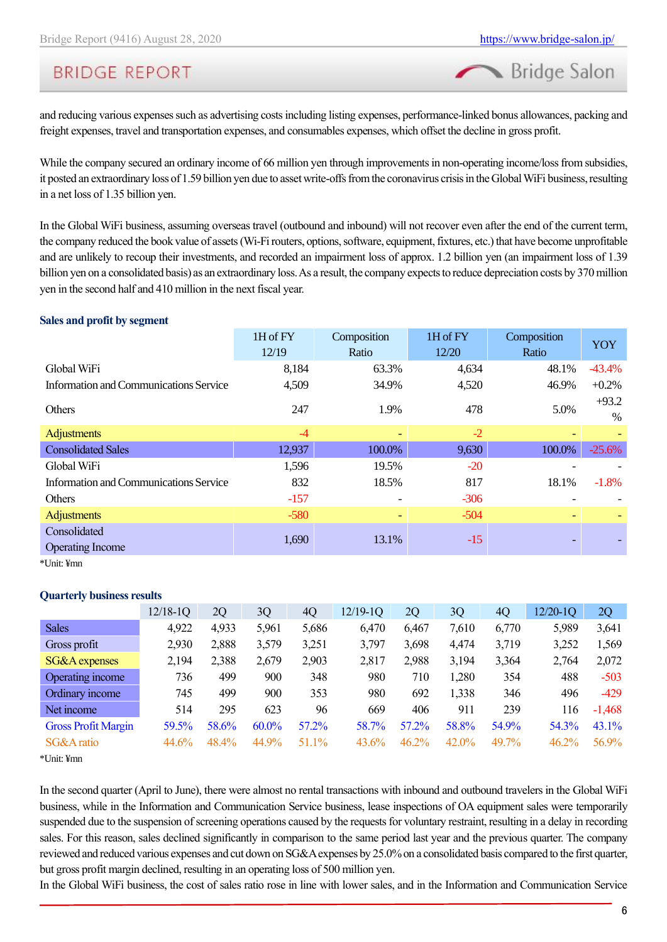Bridge Salon

and reducing various expenses such as advertising costs including listing expenses, performance-linked bonus allowances, packing and freight expenses, travel and transportation expenses, and consumables expenses, which offset the decline in gross profit.

While the company secured an ordinary income of 66 million yen through improvements in non-operating income/loss from subsidies, it posted an extraordinary loss of 1.59 billion yen due to asset write-offs from the coronavirus crisis in the Global WiFi business, resulting in a net loss of 1.35 billion yen.

In the Global WiFi business, assuming overseas travel (outbound and inbound) will not recover even after the end of the current term, the company reduced the book value of assets (Wi-Fi routers, options, software, equipment, fixtures, etc.) that have become unprofitable and are unlikely to recoup their investments, and recorded an impairment loss of approx. 1.2 billion yen (an impairment loss of 1.39 billion yen on a consolidated basis) as an extraordinary loss. As a result, the company expects to reduce depreciation costs by 370 million yen in the second half and 410 million in the next fiscal year.

#### **Sales and profit by segment**

| 1H of FY | Composition | 1H of FY | Composition | <b>YOY</b>      |
|----------|-------------|----------|-------------|-----------------|
| 12/19    | Ratio       | 12/20    | Ratio       |                 |
| 8,184    | 63.3%       | 4,634    | 48.1%       | $-43.4%$        |
| 4,509    | 34.9%       | 4,520    | 46.9%       | $+0.2%$         |
| 247      | 1.9%        | 478      | 5.0%        | $+93.2$<br>$\%$ |
| $-4$     |             | $-2$     |             |                 |
| 12,937   | 100.0%      | 9,630    | 100.0%      | $-25.6%$        |
| 1,596    | 19.5%       | $-20$    |             |                 |
| 832      | 18.5%       | 817      | 18.1%       | $-1.8%$         |
| $-157$   |             | $-306$   |             |                 |
| $-580$   |             | $-504$   | Ξ.          |                 |
|          |             |          |             |                 |
|          |             |          |             |                 |
|          | 1,690       | 13.1%    | $-15$       |                 |

\*Unit: ¥mn

#### **Quarterly business results**

|                            | $12/18-1Q$ | 2Q       | 3Q       | 4Q    | 12/19-1Q | 2Q    | 3Q    | 4Q    | $12/20-1Q$ | 2Q       |
|----------------------------|------------|----------|----------|-------|----------|-------|-------|-------|------------|----------|
| <b>Sales</b>               | 4,922      | 4,933    | 5,961    | 5,686 | 6,470    | 6,467 | 7,610 | 6,770 | 5,989      | 3,641    |
| Gross profit               | 2,930      | 2,888    | 3,579    | 3,251 | 3,797    | 3,698 | 4,474 | 3,719 | 3,252      | 1,569    |
| <b>SG&amp;A</b> expenses   | 2,194      | 2,388    | 2,679    | 2,903 | 2,817    | 2,988 | 3,194 | 3,364 | 2,764      | 2,072    |
| Operating income           | 736        | 499      | 900      | 348   | 980      | 710   | 1,280 | 354   | 488        | $-503$   |
| Ordinary income            | 745        | 499      | 900      | 353   | 980      | 692   | 1,338 | 346   | 496        | $-429$   |
| Net income                 | 514        | 295      | 623      | 96    | 669      | 406   | 911   | 239   | 116        | $-1,468$ |
| <b>Gross Profit Margin</b> | 59.5%      | 58.6%    | $60.0\%$ | 57.2% | 58.7%    | 57.2% | 58.8% | 54.9% | 54.3%      | 43.1%    |
| SG&A ratio                 | 44.6%      | $48.4\%$ | 44.9%    | 51.1% | 43.6%    | 46.2% | 42.0% | 49.7% | $46.2\%$   | 56.9%    |
|                            |            |          |          |       |          |       |       |       |            |          |

\*Unit: ¥mn

In the second quarter (April to June), there were almost no rental transactions with inbound and outbound travelers in the Global WiFi business, while in the Information and Communication Service business, lease inspections of OA equipment sales were temporarily suspended due to the suspension of screening operations caused by the requests for voluntary restraint, resulting in a delay in recording sales. For this reason, sales declined significantly in comparison to the same period last year and the previous quarter. The company reviewed and reduced various expenses and cut down on SG&A expenses by 25.0% on a consolidated basis compared to the first quarter, but gross profit margin declined, resulting in an operating loss of 500 million yen.

In the Global WiFi business, the cost of sales ratio rose in line with lower sales, and in the Information and Communication Service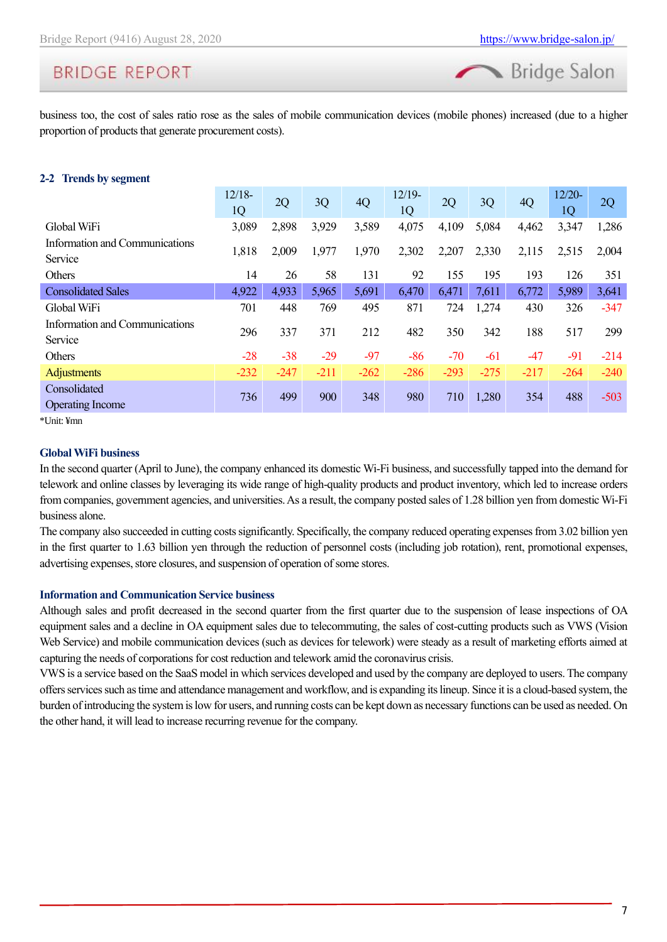# **BRIDGE REPORT**

business too, the cost of sales ratio rose as the sales of mobile communication devices (mobile phones) increased (due to a higher proportion of products that generate procurement costs).

#### **2-2 Trends by segment**

|                                           | $12/18-$<br>1Q | 2Q     | 3Q     | 4Q     | $12/19-$<br>1Q | 2Q     | 3Q     | 4Q     | $12/20-$<br>1Q | 2Q     |
|-------------------------------------------|----------------|--------|--------|--------|----------------|--------|--------|--------|----------------|--------|
| Global WiFi                               | 3,089          | 2,898  | 3,929  | 3,589  | 4,075          | 4,109  | 5,084  | 4,462  | 3,347          | 1,286  |
| Information and Communications<br>Service | 1,818          | 2,009  | 1,977  | 1,970  | 2,302          | 2,207  | 2,330  | 2,115  | 2,515          | 2,004  |
| <b>Others</b>                             | 14             | 26     | 58     | 131    | 92             | 155    | 195    | 193    | 126            | 351    |
| <b>Consolidated Sales</b>                 | 4,922          | 4,933  | 5,965  | 5,691  | 6,470          | 6,471  | 7,611  | 6,772  | 5,989          | 3,641  |
| Global WiFi                               | 701            | 448    | 769    | 495    | 871            | 724    | 1,274  | 430    | 326            | $-347$ |
| Information and Communications<br>Service | 296            | 337    | 371    | 212    | 482            | 350    | 342    | 188    | 517            | 299    |
| <b>Others</b>                             | $-28$          | $-38$  | $-29$  | $-97$  | $-86$          | $-70$  | $-61$  | $-47$  | $-91$          | $-214$ |
| <b>Adjustments</b>                        | $-232$         | $-247$ | $-211$ | $-262$ | $-286$         | $-293$ | $-275$ | $-217$ | $-264$         | $-240$ |
| Consolidated<br><b>Operating Income</b>   | 736            | 499    | 900    | 348    | 980            | 710    | 1,280  | 354    | 488            | $-503$ |

\*Unit: ¥mn

#### **Global WiFi business**

In the second quarter (April to June), the company enhanced its domestic Wi-Fi business, and successfully tapped into the demand for telework and online classes by leveraging its wide range of high-quality products and product inventory, which led to increase orders from companies, government agencies, and universities. As a result, the company posted sales of 1.28 billion yen from domestic Wi-Fi business alone.

The company also succeeded in cutting costs significantly. Specifically, the company reduced operating expenses from 3.02 billion yen in the first quarter to 1.63 billion yen through the reduction of personnel costs (including job rotation), rent, promotional expenses, advertising expenses, store closures, and suspension of operation of some stores.

#### **Information and Communication Service business**

Although sales and profit decreased in the second quarter from the first quarter due to the suspension of lease inspections of OA equipment sales and a decline in OA equipment sales due to telecommuting, the sales of cost-cutting products such as VWS (Vision Web Service) and mobile communication devices (such as devices for telework) were steady as a result of marketing efforts aimed at capturing the needs of corporations for cost reduction and telework amid the coronavirus crisis.

VWS is a service based on the SaaS model in which services developed and used by the company are deployed to users. The company offers services such as time and attendance management and workflow, and is expanding its lineup. Since it is a cloud-based system, the burden of introducing the system is low for users, and running costs can be kept down as necessary functions can be used as needed. On the other hand, it will lead to increase recurring revenue for the company.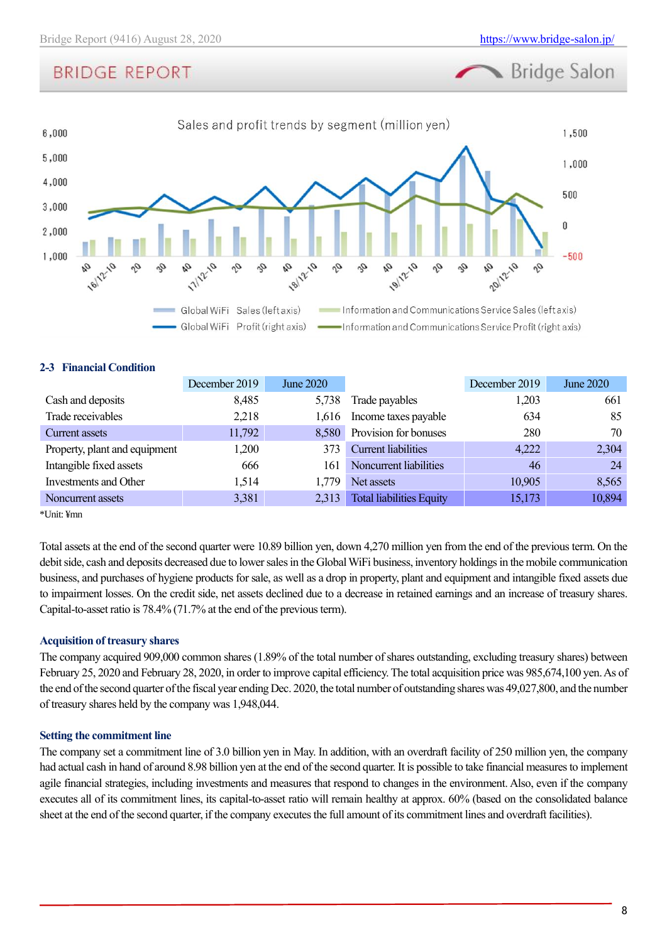# **BRIDGE REPORT**



#### **2-3 Financial Condition**

|                               | December 2019 | June 2020 |                                 | December 2019 | June 2020 |
|-------------------------------|---------------|-----------|---------------------------------|---------------|-----------|
| Cash and deposits             | 8,485         | 5,738     | Trade payables                  | 1,203         | 661       |
| Trade receivables             | 2,218         | 1.616     | Income taxes payable            | 634           | 85        |
| Current assets                | 11,792        |           | 8,580 Provision for bonuses     | 280           | 70        |
| Property, plant and equipment | 1,200         | 373.      | <b>Current liabilities</b>      | 4,222         | 2,304     |
| Intangible fixed assets       | 666           | 161       | Noncurrent liabilities          | 46            | 24        |
| Investments and Other         | 1,514         | 1.779     | Net assets                      | 10,905        | 8,565     |
| Noncurrent assets             | 3,381         | 2,313     | <b>Total liabilities Equity</b> | 15,173        | 10,894    |

\*Unit: ¥mn

Total assets at the end of the second quarter were 10.89 billion yen, down 4,270 million yen from the end of the previous term. On the debit side, cash and deposits decreased due to lower sales in the Global WiFi business, inventory holdings in the mobile communication business, and purchases of hygiene products for sale, as well as a drop in property, plant and equipment and intangible fixed assets due to impairment losses. On the credit side, net assets declined due to a decrease in retained earnings and an increase of treasury shares. Capital-to-asset ratio is 78.4% (71.7% at the end of the previous term).

#### **Acquisition of treasury shares**

The company acquired 909,000 common shares (1.89% of the total number of shares outstanding, excluding treasury shares) between February 25, 2020 and February 28, 2020, in order to improve capital efficiency. The total acquisition price was 985,674,100 yen. As of the end of the second quarter of the fiscal year ending Dec. 2020, the total number of outstanding shares was 49,027,800, and the number of treasury shares held by the company was 1,948,044.

#### **Setting the commitment line**

The company set a commitment line of 3.0 billion yen in May. In addition, with an overdraft facility of 250 million yen, the company had actual cash in hand of around 8.98 billion yen at the end of the second quarter. It is possible to take financial measures to implement agile financial strategies, including investments and measures that respond to changes in the environment. Also, even if the company executes all of its commitment lines, its capital-to-asset ratio will remain healthy at approx. 60% (based on the consolidated balance sheet at the end of the second quarter, if the company executes the full amount of its commitment lines and overdraft facilities).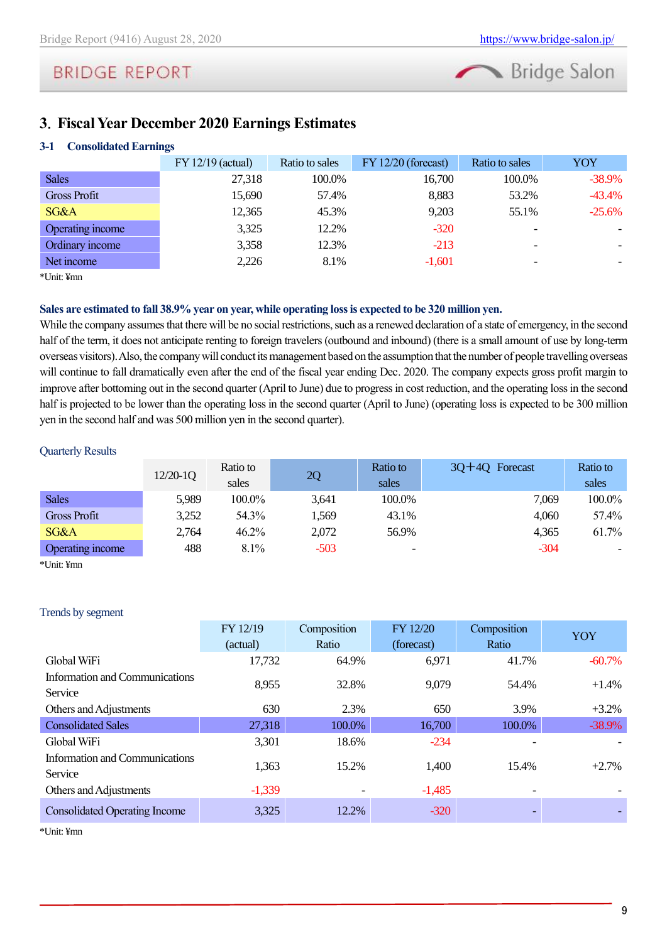# Bridge Salon

# <span id="page-8-0"></span>**3**.**Fiscal Year December 2020 Earnings Estimates**

### **3-1 Consolidated Earnings**

|                     | $FY 12/19$ (actual) | Ratio to sales | $FY 12/20$ (forecast) | Ratio to sales           | YOY      |
|---------------------|---------------------|----------------|-----------------------|--------------------------|----------|
| <b>Sales</b>        | 27,318              | 100.0%         | 16,700                | 100.0%                   | $-38.9%$ |
| <b>Gross Profit</b> | 15,690              | 57.4%          | 8,883                 | 53.2%                    | $-43.4%$ |
| SG&A                | 12,365              | 45.3%          | 9,203                 | 55.1%                    | $-25.6%$ |
| Operating income    | 3,325               | 12.2%          | $-320$                | $\overline{\phantom{0}}$ |          |
| Ordinary income     | 3,358               | 12.3%          | $-213$                | $\overline{\phantom{0}}$ |          |
| Net income          | 2,226               | 8.1%           | $-1.601$              | $\overline{\phantom{0}}$ |          |

\*Unit: ¥mn

#### **Sales are estimated to fall 38.9% year on year, while operating loss is expected to be 320 million yen.**

While the company assumes that there will be no social restrictions, such as a renewed declaration of a state of emergency, in the second half of the term, it does not anticipate renting to foreign travelers (outbound and inbound) (there is a small amount of use by long-term overseas visitors).Also, the company will conduct its management based on the assumption that the number of people travelling overseas will continue to fall dramatically even after the end of the fiscal year ending Dec. 2020. The company expects gross profit margin to improve after bottoming out in the second quarter (April to June) due to progress in cost reduction, and the operating loss in the second half is projected to be lower than the operating loss in the second quarter (April to June) (operating loss is expected to be 300 million yen in the second half and was 500 million yen in the second quarter).

#### Quarterly Results

|                     | $12/20-1Q$ | Ratio to<br>sales | 2Q     | Ratio to<br>sales        | $3Q+4Q$ Forecast | Ratio to<br>sales |
|---------------------|------------|-------------------|--------|--------------------------|------------------|-------------------|
| <b>Sales</b>        | 5,989      | 100.0%            | 3.641  | 100.0%                   | 7,069            | 100.0%            |
| <b>Gross Profit</b> | 3,252      | 54.3%             | 1.569  | 43.1%                    | 4.060            | 57.4%             |
| SG&A                | 2,764      | 46.2%             | 2,072  | 56.9%                    | 4.365            | 61.7%             |
| Operating income    | 488        | $8.1\%$           | $-503$ | $\overline{\phantom{0}}$ | $-304$           |                   |

\*Unit: ¥mn

#### Trends by segment

|                                           | FY 12/19 | Composition | FY 12/20   | Composition | YOY       |
|-------------------------------------------|----------|-------------|------------|-------------|-----------|
|                                           | (actual) | Ratio       | (forecast) | Ratio       |           |
| Global WiFi                               | 17,732   | 64.9%       | 6,971      | 41.7%       | $-60.7\%$ |
| Information and Communications            |          |             |            |             |           |
| Service                                   | 8,955    | 32.8%       | 9,079      | 54.4%       | $+1.4%$   |
| Others and Adjustments                    | 630      | 2.3%        | 650        | 3.9%        | $+3.2%$   |
| <b>Consolidated Sales</b>                 | 27,318   | 100.0%      | 16,700     | 100.0%      | $-38.9\%$ |
| Global WiFi                               | 3,301    | 18.6%       | $-234$     |             |           |
| Information and Communications<br>Service | 1,363    | 15.2%       | 1,400      | 15.4%       | $+2.7%$   |
| Others and Adjustments                    | $-1,339$ |             | $-1,485$   |             |           |
| <b>Consolidated Operating Income</b>      | 3,325    | 12.2%       | $-320$     |             |           |

\*Unit: ¥mn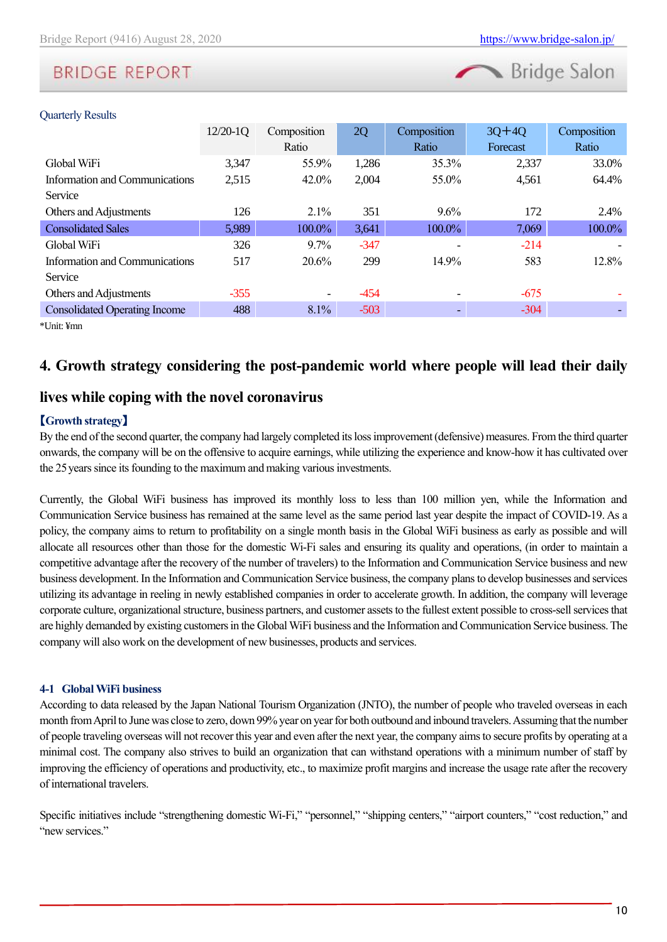| Bridge Salon |  |  |
|--------------|--|--|
|              |  |  |

#### Quarterly Results

| $12/20-1Q$ | Composition              | 2Q     | Composition | $3Q+4Q$  | Composition |
|------------|--------------------------|--------|-------------|----------|-------------|
|            | Ratio                    |        | Ratio       | Forecast | Ratio       |
| 3,347      | 55.9%                    | 1,286  | 35.3%       | 2,337    | 33.0%       |
| 2,515      | 42.0%                    | 2,004  | 55.0%       | 4,561    | 64.4%       |
|            |                          |        |             |          |             |
| 126        | $2.1\%$                  | 351    | $9.6\%$     | 172      | 2.4%        |
| 5,989      | 100.0%                   | 3,641  | 100.0%      | 7,069    | 100.0%      |
| 326        | $9.7\%$                  | $-347$ |             | $-214$   |             |
| 517        | 20.6%                    | 299    | 14.9%       | 583      | 12.8%       |
|            |                          |        |             |          |             |
| $-355$     | $\overline{\phantom{a}}$ | $-454$ |             | $-675$   |             |
| 488        | 8.1%                     | $-503$ |             | $-304$   |             |
|            |                          |        |             |          |             |

\*Unit: ¥mn

### <span id="page-9-0"></span>**4. Growth strategy considering the post-pandemic world where people will lead their daily**

### **lives while coping with the novel coronavirus**

### 【**Growth strategy**】

By the end of the second quarter, the company had largely completed its loss improvement (defensive) measures. From the third quarter onwards, the company will be on the offensive to acquire earnings, while utilizing the experience and know-how it has cultivated over the 25years since its founding to the maximum and making various investments.

Currently, the Global WiFi business has improved its monthly loss to less than 100 million yen, while the Information and Communication Service business has remained at the same level as the same period last year despite the impact of COVID-19. As a policy, the company aims to return to profitability on a single month basis in the Global WiFi business as early as possible and will allocate all resources other than those for the domestic Wi-Fi sales and ensuring its quality and operations, (in order to maintain a competitive advantage after the recovery of the number of travelers) to the Information and Communication Service business and new business development. In the Information and Communication Service business, the company plans to develop businesses and services utilizing its advantage in reeling in newly established companies in order to accelerate growth. In addition, the company will leverage corporate culture, organizational structure, business partners, and customer assets to the fullest extent possible to cross-sell services that are highly demanded by existing customers in the Global WiFi business and the Information and Communication Service business. The company will also work on the development of new businesses, products and services.

#### **4-1 Global WiFi business**

According to data released by the Japan National Tourism Organization (JNTO), the number of people who traveled overseas in each month from April to June was close to zero, down 99% year on year for both outbound and inbound travelers. Assuming that the number of people traveling overseas will not recover this year and even after the next year, the company aims to secure profits by operating at a minimal cost. The company also strives to build an organization that can withstand operations with a minimum number of staff by improving the efficiency of operations and productivity, etc., to maximize profit margins and increase the usage rate after the recovery of international travelers.

Specific initiatives include "strengthening domestic Wi-Fi," "personnel," "shipping centers," "airport counters," "cost reduction," and "new services"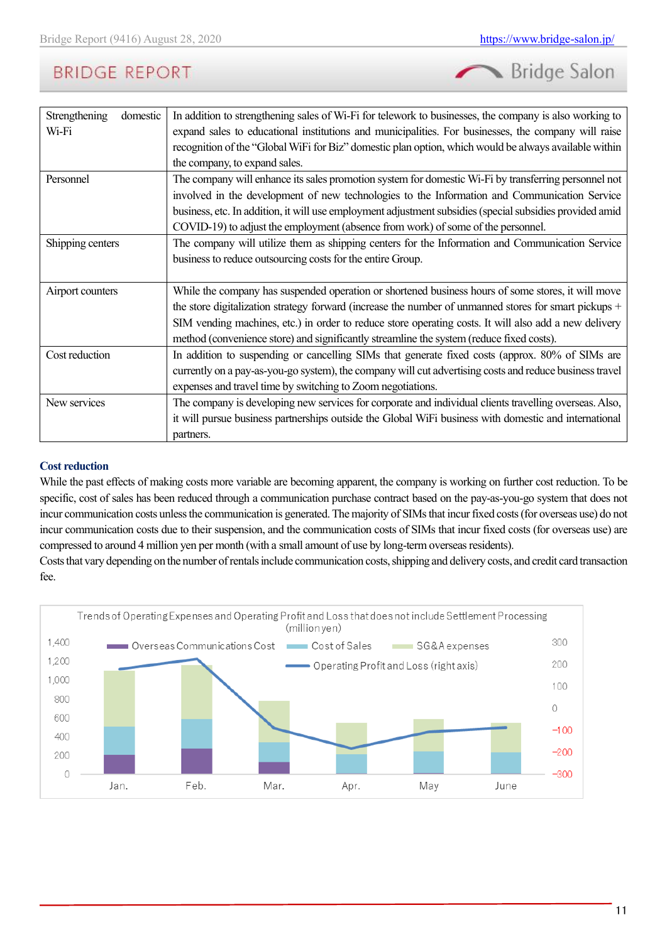Bridge Salon

| Strengthening<br>domestic | In addition to strengthening sales of Wi-Fi for telework to businesses, the company is also working to   |
|---------------------------|----------------------------------------------------------------------------------------------------------|
| Wi-Fi                     | expand sales to educational institutions and municipalities. For businesses, the company will raise      |
|                           | recognition of the "Global WiFi for Biz" domestic plan option, which would be always available within    |
|                           | the company, to expand sales.                                                                            |
| Personnel                 | The company will enhance its sales promotion system for domestic Wi-Fi by transferring personnel not     |
|                           | involved in the development of new technologies to the Information and Communication Service             |
|                           | business, etc. In addition, it will use employment adjustment subsidies (special subsidies provided amid |
|                           | COVID-19) to adjust the employment (absence from work) of some of the personnel.                         |
| Shipping centers          | The company will utilize them as shipping centers for the Information and Communication Service          |
|                           | business to reduce outsourcing costs for the entire Group.                                               |
|                           |                                                                                                          |
| Airport counters          | While the company has suspended operation or shortened business hours of some stores, it will move       |
|                           | the store digitalization strategy forward (increase the number of unmanned stores for smart pickups +    |
|                           | SIM vending machines, etc.) in order to reduce store operating costs. It will also add a new delivery    |
|                           | method (convenience store) and significantly streamline the system (reduce fixed costs).                 |
| Cost reduction            | In addition to suspending or cancelling SIMs that generate fixed costs (approx. 80% of SIMs are          |
|                           | currently on a pay-as-you-go system), the company will cut advertising costs and reduce business travel  |
|                           | expenses and travel time by switching to Zoom negotiations.                                              |
| New services              | The company is developing new services for corporate and individual clients travelling overseas. Also,   |
|                           | it will pursue business partnerships outside the Global WiFi business with domestic and international    |
|                           | partners.                                                                                                |

#### **Cost reduction**

While the past effects of making costs more variable are becoming apparent, the company is working on further cost reduction. To be specific, cost of sales has been reduced through a communication purchase contract based on the pay-as-you-go system that does not incur communication costs unless the communication is generated. The majority of SIMs that incur fixed costs (for overseas use) do not incur communication costs due to their suspension, and the communication costs of SIMs that incur fixed costs (for overseas use) are compressed to around 4 million yen per month (with a small amount of use by long-term overseas residents).

Costs that vary depending on the number of rentals include communication costs, shipping and delivery costs, and credit card transaction fee.

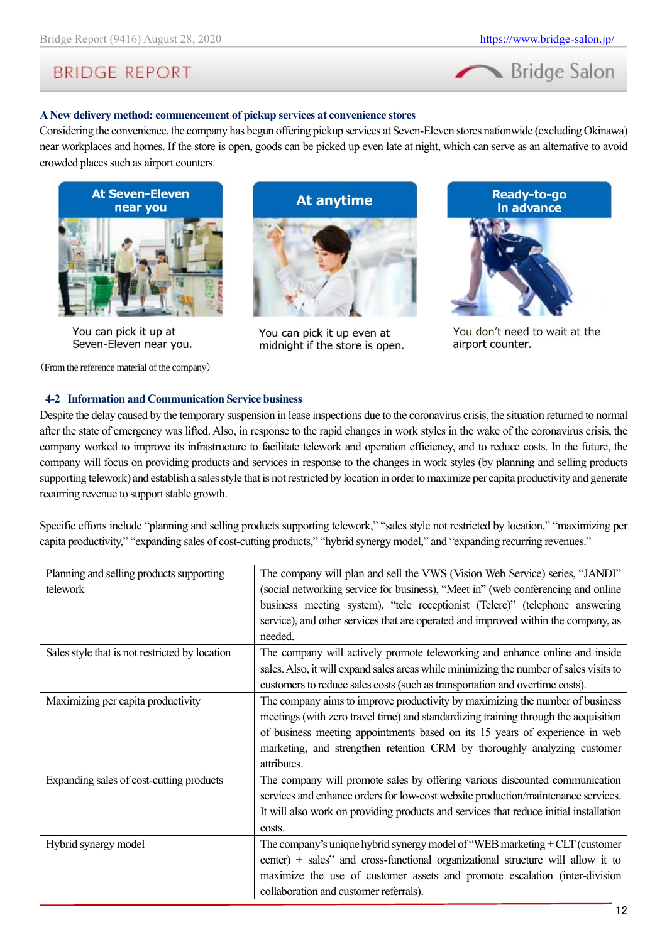

#### **A New delivery method: commencement of pickup services at convenience stores**

Considering the convenience, the company has begun offering pickup services at Seven-Eleven stores nationwide (excluding Okinawa) near workplaces and homes. If the store is open, goods can be picked up even late at night, which can serve as an alternative to avoid crowded places such as airport counters.



You can pick it up at Seven-Eleven near you.

(From the reference material of the company)



You can pick it up even at midnight if the store is open.



You don't need to wait at the airport counter.

#### **4-2 Information and Communication Service business**

Despite the delay caused by the temporary suspension in lease inspections due to the coronavirus crisis, the situation returned to normal after the state of emergency was lifted. Also, in response to the rapid changes in work styles in the wake of the coronavirus crisis, the company worked to improve its infrastructure to facilitate telework and operation efficiency, and to reduce costs. In the future, the company will focus on providing products and services in response to the changes in work styles (by planning and selling products supporting telework) and establish a sales style that is not restricted by location in order to maximize per capita productivity and generate recurring revenue to support stable growth.

Specific efforts include "planning and selling products supporting telework," "sales style not restricted by location," "maximizing per capita productivity," "expanding sales of cost-cutting products," "hybrid synergy model," and "expanding recurring revenues."

| The company will plan and sell the VWS (Vision Web Service) series, "JANDI"            |
|----------------------------------------------------------------------------------------|
| (social networking service for business), "Meet in" (web conferencing and online       |
| business meeting system), "tele receptionist (Telere)" (telephone answering            |
| service), and other services that are operated and improved within the company, as     |
| needed.                                                                                |
| The company will actively promote teleworking and enhance online and inside            |
| sales. Also, it will expand sales areas while minimizing the number of sales visits to |
| customers to reduce sales costs (such as transportation and overtime costs).           |
| The company aims to improve productivity by maximizing the number of business          |
| meetings (with zero travel time) and standardizing training through the acquisition    |
| of business meeting appointments based on its 15 years of experience in web            |
| marketing, and strengthen retention CRM by thoroughly analyzing customer               |
| attributes.                                                                            |
| The company will promote sales by offering various discounted communication            |
| services and enhance orders for low-cost website production/maintenance services.      |
| It will also work on providing products and services that reduce initial installation  |
| costs.                                                                                 |
| The company's unique hybrid synergy model of "WEB marketing $+ CLT$ (customer          |
| center) + sales" and cross-functional organizational structure will allow it to        |
| maximize the use of customer assets and promote escalation (inter-division             |
| collaboration and customer referrals).                                                 |
|                                                                                        |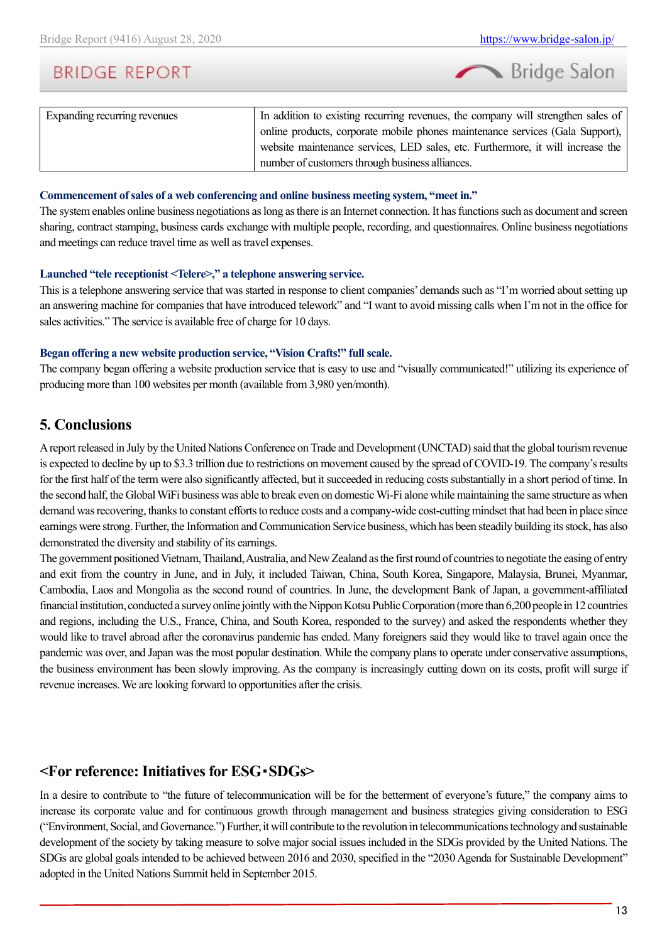

| Expanding recurring revenues | In addition to existing recurring revenues, the company will strengthen sales of |
|------------------------------|----------------------------------------------------------------------------------|
|                              | online products, corporate mobile phones maintenance services (Gala Support),    |
|                              | website maintenance services, LED sales, etc. Furthermore, it will increase the  |
|                              | number of customers through business alliances.                                  |
|                              |                                                                                  |

#### **Commencement of sales of a web conferencing and online business meeting system, "meet in."**

The system enables online business negotiations as long as there is an Internet connection. It has functions such as document and screen sharing, contract stamping, business cards exchange with multiple people, recording, and questionnaires. Online business negotiations and meetings can reduce travel time as well as travel expenses.

#### **Launched "tele receptionist <Telere>," a telephone answering service.**

This is a telephone answering service that was started in response to client companies' demands such as "I'm worried about setting up an answering machine for companies that have introduced telework" and "I want to avoid missing calls when I'm not in the office for sales activities." The service is available free of charge for 10 days.

#### **Began offering a new website production service, "Vision Crafts!" full scale.**

The company began offering a website production service that is easy to use and "visually communicated!" utilizing its experience of producing more than 100 websites per month (available from 3,980 yen/month).

### <span id="page-12-0"></span>**5. Conclusions**

A report released in July by the United Nations Conference on Trade and Development (UNCTAD) said that the global tourism revenue is expected to decline by up to \$3.3 trillion due to restrictions on movement caused by the spread of COVID-19. The company's results for the first half of the term were also significantly affected, but it succeeded in reducing costs substantially in a short period of time. In the second half, the Global WiFi business was able to break even on domestic Wi-Fi alone while maintaining the same structure as when demand was recovering, thanks to constant efforts to reduce costs and a company-wide cost-cutting mindset that had been in place since earnings were strong. Further, the Information and Communication Service business, which has been steadily building its stock, has also demonstrated the diversity and stability of its earnings.

The government positioned Vietnam, Thailand, Australia, and New Zealand as the first round of countries to negotiate the easing of entry and exit from the country in June, and in July, it included Taiwan, China, South Korea, Singapore, Malaysia, Brunei, Myanmar, Cambodia, Laos and Mongolia as the second round of countries. In June, the development Bank of Japan, a government-affiliated financial institution, conducted a survey online jointly with the Nippon Kotsu Public Corporation (more than 6,200 people in 12 countries and regions, including the U.S., France, China, and South Korea, responded to the survey) and asked the respondents whether they would like to travel abroad after the coronavirus pandemic has ended. Many foreigners said they would like to travel again once the pandemic was over, and Japan was the most popular destination. While the company plans to operate under conservative assumptions, the business environment has been slowly improving. As the company is increasingly cutting down on its costs, profit will surge if revenue increases. We are looking forward to opportunities after the crisis.

### <span id="page-12-1"></span>**<For reference: Initiatives for ESG**・**SDGs>**

In a desire to contribute to "the future of telecommunication will be for the betterment of everyone's future," the company aims to increase its corporate value and for continuous growth through management and business strategies giving consideration to ESG ("Environment, Social, and Governance.") Further, it will contribute to the revolution in telecommunications technology and sustainable development of the society by taking measure to solve major social issues included in the SDGs provided by the United Nations. The SDGs are global goals intended to be achieved between 2016 and 2030, specified in the "2030 Agenda for Sustainable Development" adopted in the United Nations Summit held in September 2015.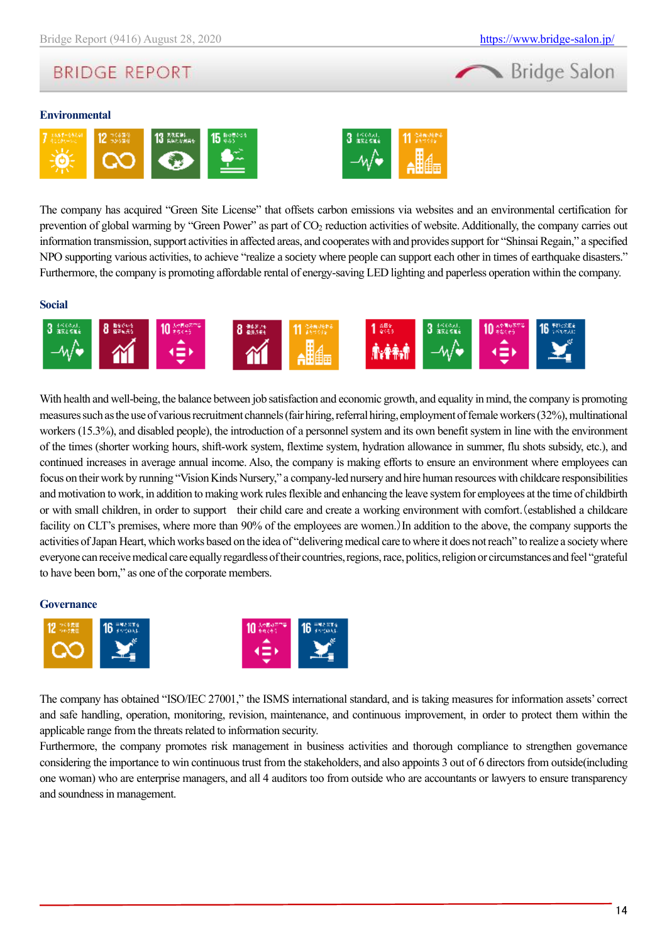# **BRIDGE REPORT**

#### **Environmental**





The company has acquired "Green Site License" that offsets carbon emissions via websites and an environmental certification for prevention of global warming by "Green Power" as part of CO<sup>2</sup> reduction activities of website. Additionally, the company carries out information transmission, support activities in affected areas, and cooperates with and provides support for "Shinsai Regain," a specified NPO supporting various activities, to achieve "realize a society where people can support each other in times of earthquake disasters." Furthermore, the company is promoting affordable rental of energy-saving LED lighting and paperless operation within the company.

#### **Social**



With health and well-being, the balance between job satisfaction and economic growth, and equality in mind, the company is promoting measures such as the use of various recruitment channels (fair hiring, referral hiring, employment of female workers (32%), multinational workers (15.3%), and disabled people), the introduction of a personnel system and its own benefit system in line with the environment of the times (shorter working hours, shift-work system, flextime system, hydration allowance in summer, flu shots subsidy, etc.), and continued increases in average annual income. Also, the company is making efforts to ensure an environment where employees can focus on their work by running "Vision Kinds Nursery," a company-led nursery and hire human resources with childcare responsibilities and motivation to work, in addition to making work rules flexible and enhancing the leave system for employees at the time of childbirth or with small children, in order to support their child care and create a working environment with comfort.(established a childcare facility on CLT's premises, where more than 90% of the employees are women.) In addition to the above, the company supports the activities of Japan Heart, which works based on the idea of "delivering medical care to where it does not reach" to realize a society where everyone can receive medical care equally regardless of their countries, regions, race, politics, religion or circumstances and feel "grateful to have been born," as one of the corporate members.

#### **Governance**



The company has obtained "ISO/IEC 27001," the ISMS international standard, and is taking measures for information assets' correct and safe handling, operation, monitoring, revision, maintenance, and continuous improvement, in order to protect them within the applicable range from the threats related to information security.

Furthermore, the company promotes risk management in business activities and thorough compliance to strengthen governance considering the importance to win continuous trust from the stakeholders, and also appoints 3 out of 6 directors from outside(including one woman) who are enterprise managers, and all 4 auditors too from outside who are accountants or lawyers to ensure transparency and soundness in management.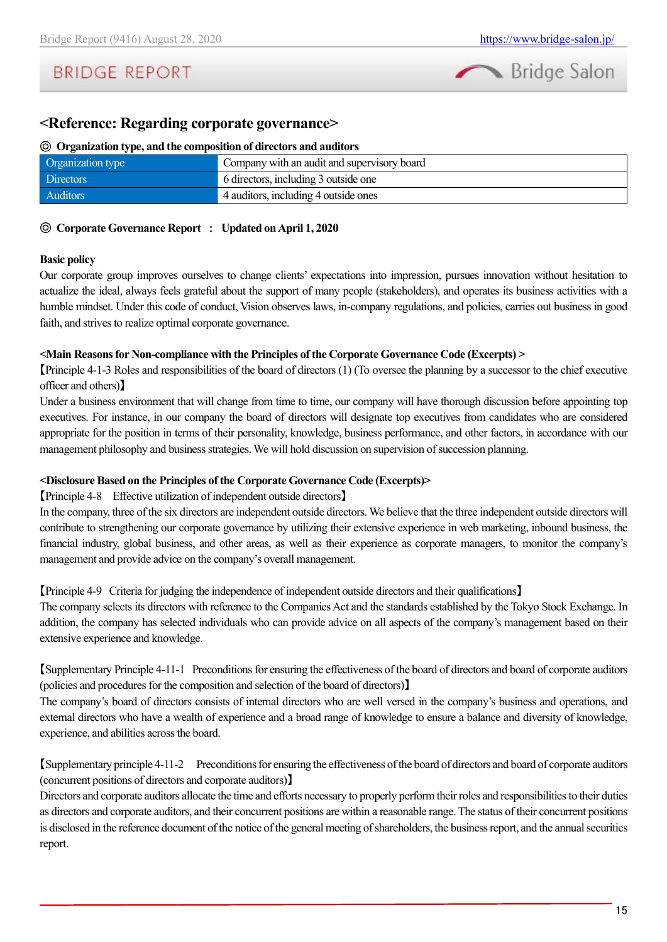# **BRIDGE REPORT**

### <span id="page-14-0"></span>**<Reference: Regarding corporate governance>**

#### ◎ **Organization type, and the composition of directors and auditors**

| Organization type | Company with an audit and supervisory board |
|-------------------|---------------------------------------------|
| <b>Directors</b>  | 6 directors, including 3 outside one        |
| <b>Auditors</b>   | 4 auditors, including 4 outside ones        |

#### ◎ **Corporate Governance Report** : **Updated on April 1, 2020**

#### **Basic policy**

Our corporate group improves ourselves to change clients' expectations into impression, pursues innovation without hesitation to actualize the ideal, always feels grateful about the support of many people (stakeholders), and operates its business activities with a humble mindset. Under this code of conduct, Vision observes laws, in-company regulations, and policies, carries out business in good faith, and strives to realize optimal corporate governance.

#### **<Main Reasons for Non-compliance with the Principles of the Corporate Governance Code (Excerpts) >**

【Principle 4-1-3 Roles and responsibilities of the board of directors (1) (To oversee the planning by a successor to the chief executive officer and others)】

Under a business environment that will change from time to time, our company will have thorough discussion before appointing top executives. For instance, in our company the board of directors will designate top executives from candidates who are considered appropriate for the position in terms of their personality, knowledge, business performance, and other factors, in accordance with our management philosophy and business strategies. We will hold discussion on supervision of succession planning.

#### **<Disclosure Based on the Principles of the Corporate Governance Code (Excerpts)>**

#### 【Principle 4-8 Effective utilization of independent outside directors】

In the company, three of the six directors are independent outside directors. We believe that the three independent outside directors will contribute to strengthening our corporate governance by utilizing their extensive experience in web marketing, inbound business, the financial industry, global business, and other areas, as well as their experience as corporate managers, to monitor the company's management and provide advice on the company's overall management.

【Principle 4-9 Criteria for judging the independence of independent outside directors and their qualifications】

The company selects its directors with reference to the Companies Act and the standards established by the Tokyo Stock Exchange. In addition, the company has selected individuals who can provide advice on all aspects of the company's management based on their extensive experience and knowledge.

【Supplementary Principle 4-11-1 Preconditions for ensuring the effectiveness of the board of directors and board of corporate auditors (policies and procedures for the composition and selection of the board of directors)】

The company's board of directors consists of internal directors who are well versed in the company's business and operations, and external directors who have a wealth of experience and a broad range of knowledge to ensure a balance and diversity of knowledge, experience, and abilities across the board.

【Supplementary principle 4-11-2 Preconditions for ensuring the effectiveness of the board of directors and board of corporate auditors (concurrent positions of directors and corporate auditors)】

Directors and corporate auditors allocate the time and efforts necessary to properly perform their roles and responsibilitiesto their duties as directors and corporate auditors, and their concurrent positions are within a reasonable range. The status of their concurrent positions is disclosed in the reference document of the notice of the general meeting of shareholders, the business report, and the annual securities report.